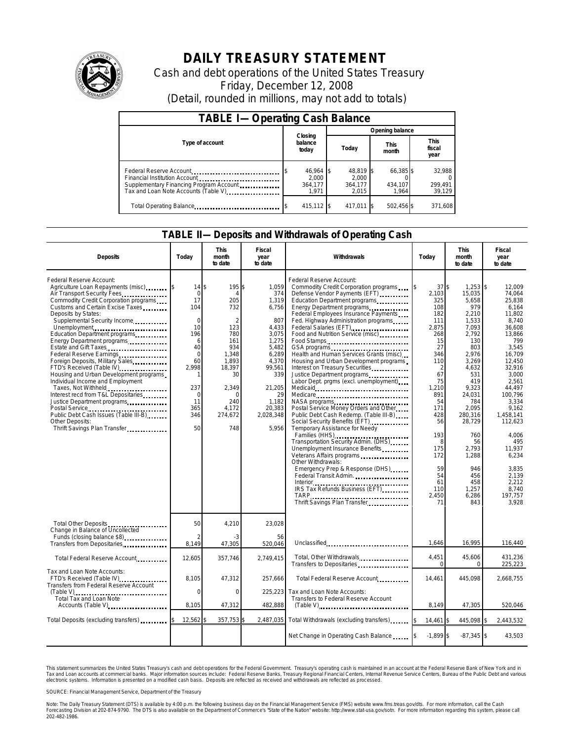

# **DAILY TREASURY STATEMENT**

Cash and debt operations of the United States Treasury Friday, December 12, 2008 (Detail, rounded in millions, may not add to totals)

| <b>TABLE I-Operating Cash Balance</b>                                                                                                       |                                        |                                        |                               |                               |  |  |  |  |
|---------------------------------------------------------------------------------------------------------------------------------------------|----------------------------------------|----------------------------------------|-------------------------------|-------------------------------|--|--|--|--|
|                                                                                                                                             | Closing                                | Opening balance                        |                               |                               |  |  |  |  |
| Type of account<br>balance<br>today                                                                                                         |                                        | Today                                  | <b>This</b><br>month          | <b>This</b><br>fiscal<br>year |  |  |  |  |
| Federal Reserve Account<br>Financial Institution Account<br>Supplementary Financing Program Account<br>Tax and Loan Note Accounts (Table V) | 46,964 \$<br>2.000<br>364.177<br>1.971 | 48,819 \$<br>2.000<br>364.177<br>2.015 | 66,385 \$<br>434.107<br>1.964 | 32,988<br>299,491<br>39,129   |  |  |  |  |
| Total Operating Balance                                                                                                                     | 415.112 \$                             | 417.011 \$                             | 502,456 \$                    | 371.608                       |  |  |  |  |

#### **TABLE II—Deposits and Withdrawals of Operating Cash**

| <b>Deposits</b>                                                                                                                                                                                                                                                                                                                                                                                                                                                                                                                                                                                                                                                                   | Today                                                                                                                                            | This<br>month<br>to date                                                                                                                                        | Fiscal<br>year<br>to date                                                                                                                                             | <b>Withdrawals</b>                                                                                                                                                                                                                                                                                                                                                                                                                                                                                                                                                                                                                                                                                                                                                                                                                                                                                                                                                              | Today                                                                                                                                                                                                                        | <b>This</b><br>month<br>to date                                                                                                                                                                                                                                      | Fiscal<br>year<br>to date                                                                                                                                                                                                                                                                            |
|-----------------------------------------------------------------------------------------------------------------------------------------------------------------------------------------------------------------------------------------------------------------------------------------------------------------------------------------------------------------------------------------------------------------------------------------------------------------------------------------------------------------------------------------------------------------------------------------------------------------------------------------------------------------------------------|--------------------------------------------------------------------------------------------------------------------------------------------------|-----------------------------------------------------------------------------------------------------------------------------------------------------------------|-----------------------------------------------------------------------------------------------------------------------------------------------------------------------|---------------------------------------------------------------------------------------------------------------------------------------------------------------------------------------------------------------------------------------------------------------------------------------------------------------------------------------------------------------------------------------------------------------------------------------------------------------------------------------------------------------------------------------------------------------------------------------------------------------------------------------------------------------------------------------------------------------------------------------------------------------------------------------------------------------------------------------------------------------------------------------------------------------------------------------------------------------------------------|------------------------------------------------------------------------------------------------------------------------------------------------------------------------------------------------------------------------------|----------------------------------------------------------------------------------------------------------------------------------------------------------------------------------------------------------------------------------------------------------------------|------------------------------------------------------------------------------------------------------------------------------------------------------------------------------------------------------------------------------------------------------------------------------------------------------|
| Federal Reserve Account:<br>Agriculture Loan Repayments (misc)<br>Air Transport Security Fees<br>Commodity Credit Corporation programs<br>Customs and Certain Excise Taxes<br>Deposits by States:<br>Supplemental Security Income<br>Unemployment<br>Education Department programs<br>Energy Department programs<br>Estate and Gift Taxes<br>Foreign Deposits, Military Sales<br>FTD's Received (Table IV)<br>Housing and Urban Development programs<br>Individual Income and Employment<br>Taxes, Not Withheld<br>Interest recd from T&L Depositaries<br>Justice Department programs<br>Public Debt Cash Issues (Table III-B)<br>Other Deposits:<br>Thrift Savings Plan Transfer | 14<br>$\mathbf 0$<br>17<br>104<br>$\Omega$<br>10<br>196<br>6<br>40<br>$\mathbf 0$<br>60<br>2.998<br>237<br>$\mathbf 0$<br>11<br>365<br>346<br>50 | 195\$<br>\$<br>205<br>732<br>$\mathcal{P}$<br>123<br>780<br>161<br>934<br>1,348<br>1,893<br>18,397<br>30<br>2,349<br>$\Omega$<br>240<br>4.172<br>274,672<br>748 | 1,059<br>374<br>1,319<br>6,756<br>807<br>4,433<br>3,075<br>1,275<br>5.482<br>6.289<br>4,370<br>99,561<br>339<br>21,205<br>29<br>1,182<br>20,383<br>2,028,348<br>5.956 | Federal Reserve Account:<br>Commodity Credit Corporation programs<br>Defense Vendor Payments (EFT)<br>Education Department programs<br>Energy Department programs<br>Federal Employees Insurance Payments<br>Fed. Highway Administration programs<br>Federal Salaries (EFT)<br>Food and Nutrition Service (misc) [100]<br>Food Stamps<br>GSA programs<br>Health and Human Services Grants (misc)<br>Housing and Urban Development programs<br>Interest on Treasury Securities<br>Justice Department programs.<br>Labor Dept. prgms (excl. unemployment)<br>Medicare<br>Postal Service Money Orders and Other<br>Public Debt Cash Redemp. (Table III-B)<br>Social Security Benefits (EFT)<br>Temporary Assistance for Needy<br>Families (HHS)<br>Transportation Security Admin. (DHS)<br>Unemployment Insurance Benefits<br>Veterans Affairs programs<br>Other Withdrawals:<br>Emergency Prep & Response (DHS)<br>Federal Transit Admin.<br>TARP<br>Thrift Savings Plan Transfer | 37S<br>2,103<br>325<br>108<br>182<br>111<br>2,875<br>268<br>15<br>27<br>346<br>110<br>$\overline{2}$<br>67<br>75<br>1,210<br>891<br>54<br>171<br>428<br>56<br>193<br>8<br>175<br>172<br>59<br>54<br>61<br>110<br>2.450<br>71 | $1,253$ \$<br>15,035<br>5,658<br>979<br>2.210<br>1.533<br>7,093<br>2,792<br>130<br>803<br>2.976<br>3,269<br>4,632<br>531<br>419<br>9.323<br>24.031<br>784<br>2.095<br>280,316<br>28,729<br>760<br>56<br>2.793<br>1,288<br>946<br>456<br>458<br>1.257<br>6.286<br>843 | 12,009<br>74.064<br>25,838<br>6.164<br>11.802<br>8.740<br>36,608<br>13,866<br>799<br>3.545<br>16.709<br>12,450<br>32,916<br>3.000<br>2.561<br>44.497<br>100.796<br>3,334<br>9.162<br>1.458.141<br>112.623<br>4,006<br>495<br>11.937<br>6.234<br>3.835<br>2.139<br>2.212<br>8.740<br>197.757<br>3.928 |
| Total Other Deposits<br>Change in Balance of Uncollected<br>Funds (closing balance \$8)                                                                                                                                                                                                                                                                                                                                                                                                                                                                                                                                                                                           | 50<br>8.149                                                                                                                                      | 4,210<br>-3                                                                                                                                                     | 23,028<br>56                                                                                                                                                          |                                                                                                                                                                                                                                                                                                                                                                                                                                                                                                                                                                                                                                                                                                                                                                                                                                                                                                                                                                                 | 1.646                                                                                                                                                                                                                        | 16.995                                                                                                                                                                                                                                                               | 116.440                                                                                                                                                                                                                                                                                              |
| Transfers from Depositaries<br>Total Federal Reserve Account                                                                                                                                                                                                                                                                                                                                                                                                                                                                                                                                                                                                                      | 12,605                                                                                                                                           | 47,305<br>357,746                                                                                                                                               | 520,046<br>2,749,415                                                                                                                                                  | Unclassified<br>Total, Other Withdrawals                                                                                                                                                                                                                                                                                                                                                                                                                                                                                                                                                                                                                                                                                                                                                                                                                                                                                                                                        | 4,451                                                                                                                                                                                                                        | 45,606                                                                                                                                                                                                                                                               | 431,236                                                                                                                                                                                                                                                                                              |
| Tax and Loan Note Accounts:<br>FTD's Received (Table IV)<br>Transfers from Federal Reserve Account<br>$(Table V)$<br>Total Tax and Loan Note<br>Accounts (Table V)                                                                                                                                                                                                                                                                                                                                                                                                                                                                                                                | 8,105<br>$\Omega$<br>8,105                                                                                                                       | 47,312<br>$\mathbf 0$<br>47,312                                                                                                                                 | 257,666<br>225,223<br>482,888                                                                                                                                         | Transfers to Depositaries<br>Total Federal Reserve Account<br>Tax and Loan Note Accounts:<br>Transfers to Federal Reserve Account<br>$(Table V)$                                                                                                                                                                                                                                                                                                                                                                                                                                                                                                                                                                                                                                                                                                                                                                                                                                | $\Omega$<br>14,461<br>8,149                                                                                                                                                                                                  | $\mathbf 0$<br>445,098<br>47,305                                                                                                                                                                                                                                     | 225,223<br>2,668,755<br>520,046                                                                                                                                                                                                                                                                      |
| Total Deposits (excluding transfers)                                                                                                                                                                                                                                                                                                                                                                                                                                                                                                                                                                                                                                              | 12,562                                                                                                                                           | 357,753 \$                                                                                                                                                      |                                                                                                                                                                       | 2,487,035 Total Withdrawals (excluding transfers)                                                                                                                                                                                                                                                                                                                                                                                                                                                                                                                                                                                                                                                                                                                                                                                                                                                                                                                               | 14,461 \$                                                                                                                                                                                                                    | 445,098 \$                                                                                                                                                                                                                                                           | 2,443,532                                                                                                                                                                                                                                                                                            |
|                                                                                                                                                                                                                                                                                                                                                                                                                                                                                                                                                                                                                                                                                   |                                                                                                                                                  |                                                                                                                                                                 |                                                                                                                                                                       | Net Change in Operating Cash Balance                                                                                                                                                                                                                                                                                                                                                                                                                                                                                                                                                                                                                                                                                                                                                                                                                                                                                                                                            | $-1.899$ \$                                                                                                                                                                                                                  | $-87,345$ \$                                                                                                                                                                                                                                                         | 43,503                                                                                                                                                                                                                                                                                               |

This statement summarizes the United States Treasury's cash and debt operations for the Federal Government. Treasury's operating cash is maintained in an account at the Federal Reserve Bank of New York and in<br>Tax and Loan electronic systems. Information is presented on a modified cash basis. Deposits are reflected as received and withdrawals are reflected as processed.

SOURCE: Financial Management Service, Department of the Treasury

Note: The Daily Treasury Statement (DTS) is available by 4:00 p.m. the following business day on the Financial Management Service (FMS) website www.fms.treas.gov/dts. For more information, call the Cash Forecasting Division at 202-874-9790. The DTS is also available on the Department of Commerce's "State of the Nation" website: http://www.stat-usa.gov/sotn. For more information regarding this system, please call<br>202-482-1